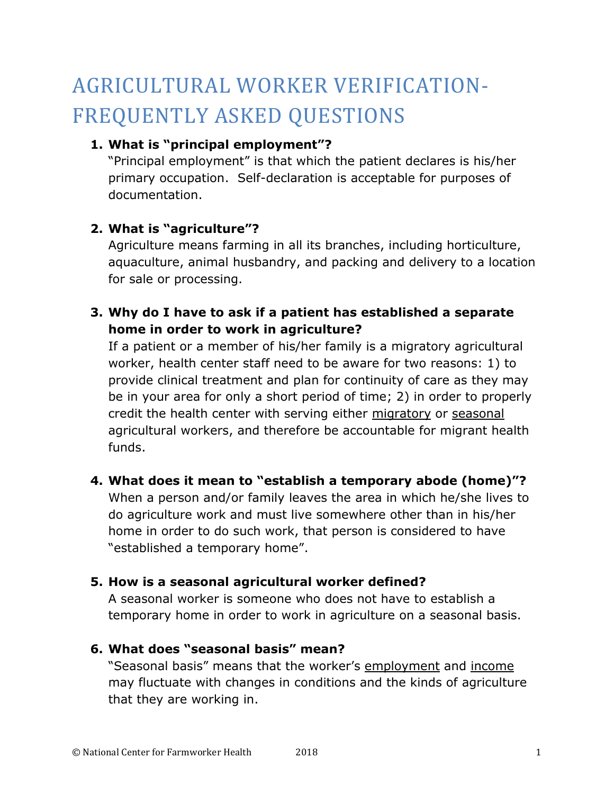# AGRICULTURAL WORKER VERIFICATION-FREQUENTLY ASKED QUESTIONS

## **1. What is "principal employment"?**

"Principal employment" is that which the patient declares is his/her primary occupation. Self-declaration is acceptable for purposes of documentation.

## **2. What is "agriculture"?**

Agriculture means farming in all its branches, including horticulture, aquaculture, animal husbandry, and packing and delivery to a location for sale or processing.

## **3. Why do I have to ask if a patient has established a separate home in order to work in agriculture?**

If a patient or a member of his/her family is a migratory agricultural worker, health center staff need to be aware for two reasons: 1) to provide clinical treatment and plan for continuity of care as they may be in your area for only a short period of time; 2) in order to properly credit the health center with serving either migratory or seasonal agricultural workers, and therefore be accountable for migrant health funds.

#### **4. What does it mean to "establish a temporary abode (home)"?**

When a person and/or family leaves the area in which he/she lives to do agriculture work and must live somewhere other than in his/her home in order to do such work, that person is considered to have "established a temporary home".

#### **5. How is a seasonal agricultural worker defined?**

A seasonal worker is someone who does not have to establish a temporary home in order to work in agriculture on a seasonal basis.

#### **6. What does "seasonal basis" mean?**

"Seasonal basis" means that the worker's employment and income may fluctuate with changes in conditions and the kinds of agriculture that they are working in.